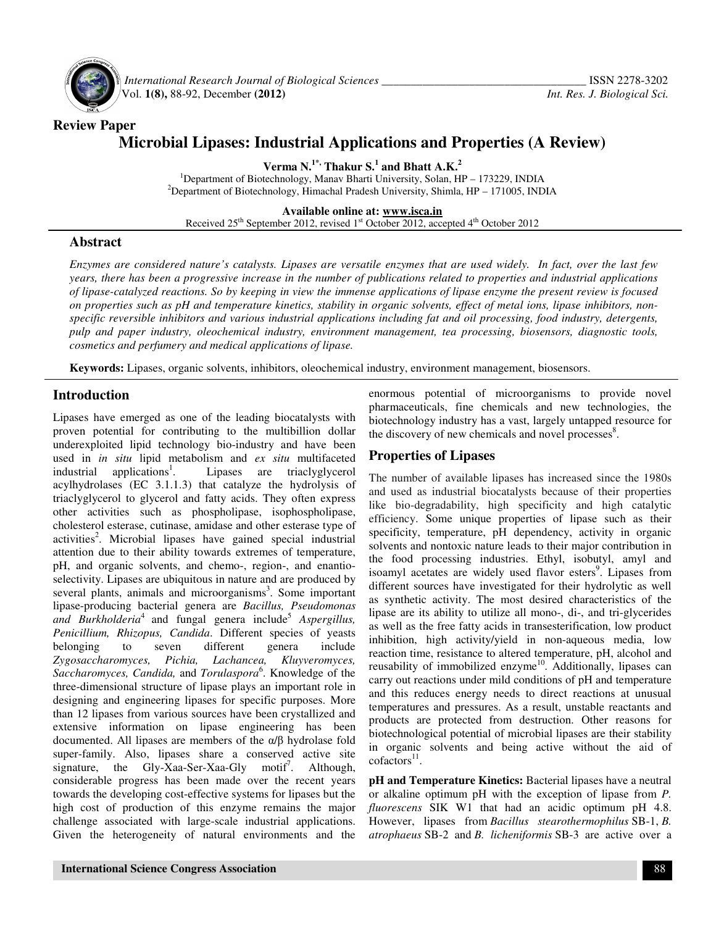

**Review Paper** 

 *International Research Journal of Biological Sciences \_\_\_\_\_\_\_\_\_\_\_\_\_\_\_\_\_\_\_\_\_\_\_\_\_\_\_\_\_\_\_\_\_\_\_* ISSN 2278-3202 Vol. **1(8),** 88-92, December **(2012)** *Int. Res. J. Biological Sci.*

# **Microbial Lipases: Industrial Applications and Properties (A Review)**

**Verma N.1\*, Thakur S.<sup>1</sup> and Bhatt A.K.<sup>2</sup>**

<sup>1</sup>Department of Biotechnology, Manav Bharti University, Solan, HP – 173229, INDIA <sup>2</sup>Department of Biotechnology, Himachal Pradesh University, Shimla,  $HP - 171005$ , INDIA

**Available online at: www.isca.in**

Received  $25<sup>th</sup>$  September 2012, revised  $1<sup>st</sup>$  October 2012, accepted  $4<sup>th</sup>$  October 2012

## **Abstract**

*Enzymes are considered nature's catalysts. Lipases are versatile enzymes that are used widely. In fact, over the last few years, there has been a progressive increase in the number of publications related to properties and industrial applications of lipase-catalyzed reactions. So by keeping in view the immense applications of lipase enzyme the present review is focused on properties such as pH and temperature kinetics, stability in organic solvents, effect of metal ions, lipase inhibitors, nonspecific reversible inhibitors and various industrial applications including fat and oil processing, food industry, detergents, pulp and paper industry, oleochemical industry, environment management, tea processing, biosensors, diagnostic tools, cosmetics and perfumery and medical applications of lipase.* 

**Keywords:** Lipases, organic solvents, inhibitors, oleochemical industry, environment management, biosensors.

## **Introduction**

Lipases have emerged as one of the leading biocatalysts with proven potential for contributing to the multibillion dollar underexploited lipid technology bio-industry and have been used in *in situ* lipid metabolism and *ex situ* multifaceted industrial applications<sup>1</sup>. . Lipases are triaclyglycerol acylhydrolases (EC 3.1.1.3) that catalyze the hydrolysis of triaclyglycerol to glycerol and fatty acids. They often express other activities such as phospholipase, isophospholipase, cholesterol esterase, cutinase, amidase and other esterase type of activities<sup>2</sup>. Microbial lipases have gained special industrial attention due to their ability towards extremes of temperature, pH, and organic solvents, and chemo-, region-, and enantioselectivity. Lipases are ubiquitous in nature and are produced by several plants, animals and microorganisms<sup>3</sup>. Some important lipase-producing bacterial genera are *Bacillus, Pseudomonas*  and Burkholderia<sup>4</sup> and fungal genera include<sup>5</sup> Aspergillus, *Penicillium, Rhizopus, Candida*. Different species of yeasts belonging to seven different genera include belonging to seven different genera include *Zygosaccharomyces, Pichia, Lachancea, Kluyveromyces, Saccharomyces, Candida,* and *Torulaspora*<sup>6</sup> . Knowledge of the three-dimensional structure of lipase plays an important role in designing and engineering lipases for specific purposes. More than 12 lipases from various sources have been crystallized and extensive information on lipase engineering has been documented. All lipases are members of the α/β hydrolase fold super-family. Also, lipases share a conserved active site signature, the Gly-Xaa-Ser-Xaa-Gly motif<sup>7</sup>. Although, considerable progress has been made over the recent years towards the developing cost-effective systems for lipases but the high cost of production of this enzyme remains the major challenge associated with large-scale industrial applications. Given the heterogeneity of natural environments and the

enormous potential of microorganisms to provide novel pharmaceuticals, fine chemicals and new technologies, the biotechnology industry has a vast, largely untapped resource for the discovery of new chemicals and novel processes $\delta$ .

## **Properties of Lipases**

The number of available lipases has increased since the 1980s and used as industrial biocatalysts because of their properties like bio-degradability, high specificity and high catalytic efficiency. Some unique properties of lipase such as their specificity, temperature, pH dependency, activity in organic solvents and nontoxic nature leads to their major contribution in the food processing industries. Ethyl, isobutyl, amyl and isoamyl acetates are widely used flavor esters<sup>9</sup>. Lipases from different sources have investigated for their hydrolytic as well as synthetic activity. The most desired characteristics of the lipase are its ability to utilize all mono-, di-, and tri-glycerides as well as the free fatty acids in transesterification, low product inhibition, high activity/yield in non-aqueous media, low reaction time, resistance to altered temperature, pH, alcohol and reusability of immobilized enzyme<sup>10</sup>. Additionally, lipases can carry out reactions under mild conditions of pH and temperature and this reduces energy needs to direct reactions at unusual temperatures and pressures. As a result, unstable reactants and products are protected from destruction. Other reasons for biotechnological potential of microbial lipases are their stability in organic solvents and being active without the aid of  $cofactors<sup>11</sup>$ .

**pH and Temperature Kinetics:** Bacterial lipases have a neutral or alkaline optimum pH with the exception of lipase from *P. fluorescens* SIK W1 that had an acidic optimum pH 4.8. However, lipases from *Bacillus stearothermophilus* SB-1, *B. atrophaeus* SB-2 and *B. licheniformis* SB-3 are active over a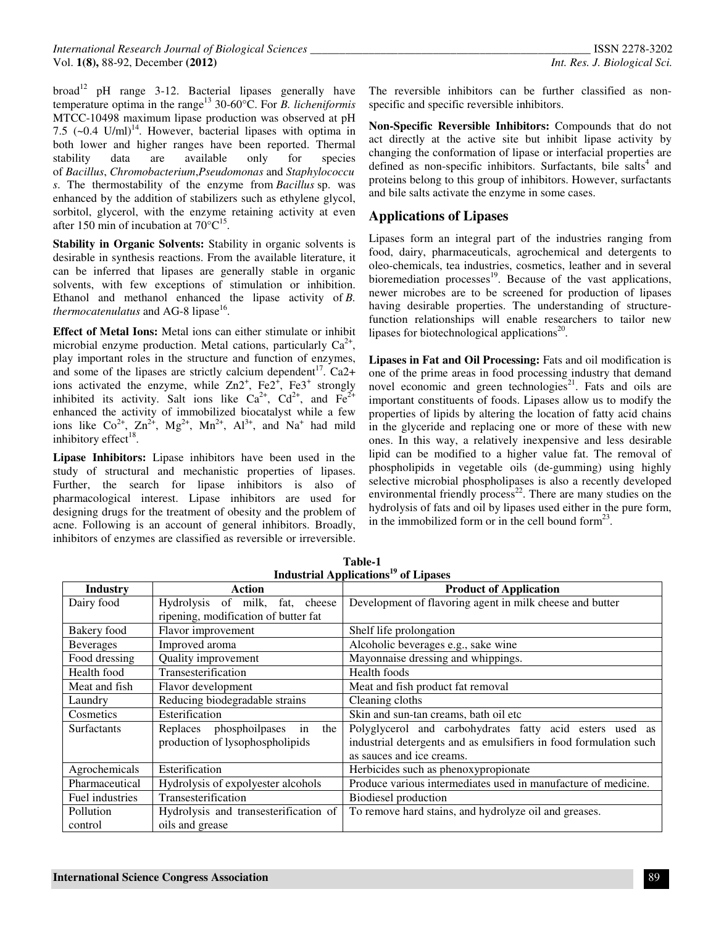$broad<sup>12</sup>$  pH range 3-12. Bacterial lipases generally have temperature optima in the range<sup>13</sup> 30-60°C. For *B. licheniformis* MTCC-10498 maximum lipase production was observed at pH 7.5  $(-0.4 \text{ U/ml})^{14}$ . However, bacterial lipases with optima in both lower and higher ranges have been reported. Thermal stability data are available only for species of *Bacillus*, *Chromobacterium*,*Pseudomonas* and *Staphylococcu s*. The thermostability of the enzyme from *Bacillus* sp. was enhanced by the addition of stabilizers such as ethylene glycol, sorbitol, glycerol, with the enzyme retaining activity at even after 150 min of incubation at  $70^{\circ}C^{15}$ .

**Stability in Organic Solvents:** Stability in organic solvents is desirable in synthesis reactions. From the available literature, it can be inferred that lipases are generally stable in organic solvents, with few exceptions of stimulation or inhibition. Ethanol and methanol enhanced the lipase activity of *B.*  thermocatenulatus and AG-8 lipase<sup>16</sup>.

**Effect of Metal Ions:** Metal ions can either stimulate or inhibit microbial enzyme production. Metal cations, particularly  $Ca^{2+}$ , play important roles in the structure and function of enzymes, and some of the lipases are strictly calcium dependent<sup>17</sup>. Ca2+ ions activated the enzyme, while  $Zn2^+$ ,  $Fe2^+$ ,  $Fe3^+$  strongly inhibited its activity. Salt ions like  $Ca^{2+}$ ,  $Cd^{2+}$ , and  $Fe^{2+}$ enhanced the activity of immobilized biocatalyst while a few ions like  $Co^{2+}$ ,  $Zn^{2+}$ ,  $Mg^{2+}$ ,  $Mn^{2+}$ ,  $Al^{3+}$ , and  $Na^{+}$  had mild inhibitory effect<sup>18</sup>.

**Lipase Inhibitors:** Lipase inhibitors have been used in the study of structural and mechanistic properties of lipases. Further, the search for lipase inhibitors is also of pharmacological interest. Lipase inhibitors are used for designing drugs for the treatment of obesity and the problem of acne. Following is an account of general inhibitors. Broadly, inhibitors of enzymes are classified as reversible or irreversible.

The reversible inhibitors can be further classified as nonspecific and specific reversible inhibitors.

**Non-Specific Reversible Inhibitors:** Compounds that do not act directly at the active site but inhibit lipase activity by changing the conformation of lipase or interfacial properties are defined as non-specific inhibitors. Surfactants, bile salts<sup>4</sup> and proteins belong to this group of inhibitors. However, surfactants and bile salts activate the enzyme in some cases.

## **Applications of Lipases**

Lipases form an integral part of the industries ranging from food, dairy, pharmaceuticals, agrochemical and detergents to oleo-chemicals, tea industries, cosmetics, leather and in several bioremediation processes<sup>19</sup>. Because of the vast applications, newer microbes are to be screened for production of lipases having desirable properties. The understanding of structurefunction relationships will enable researchers to tailor new lipases for biotechnological applications $2^0$ .

**Lipases in Fat and Oil Processing:** Fats and oil modification is one of the prime areas in food processing industry that demand novel economic and green technologies<sup>21</sup>. Fats and oils are important constituents of foods. Lipases allow us to modify the properties of lipids by altering the location of fatty acid chains in the glyceride and replacing one or more of these with new ones. In this way, a relatively inexpensive and less desirable lipid can be modified to a higher value fat. The removal of phospholipids in vegetable oils (de-gumming) using highly selective microbial phospholipases is also a recently developed environmental friendly process<sup>22</sup>. There are many studies on the hydrolysis of fats and oil by lipases used either in the pure form, in the immobilized form or in the cell bound form $^{23}$ .

| Industrial Applications <sup>19</sup> of Lipases |                                       |                                                                   |
|--------------------------------------------------|---------------------------------------|-------------------------------------------------------------------|
| <b>Industry</b>                                  | Action                                | <b>Product of Application</b>                                     |
| Dairy food                                       | Hydrolysis of milk,<br>fat,<br>cheese | Development of flavoring agent in milk cheese and butter          |
|                                                  | ripening, modification of butter fat  |                                                                   |
| Bakery food                                      | Flavor improvement                    | Shelf life prolongation                                           |
| <b>Beverages</b>                                 | Improved aroma                        | Alcoholic beverages e.g., sake wine                               |
| Food dressing                                    | Quality improvement                   | Mayonnaise dressing and whippings.                                |
| Health food                                      | Transesterification                   | Health foods                                                      |
| Meat and fish                                    | Flavor development                    | Meat and fish product fat removal                                 |
| Laundry                                          | Reducing biodegradable strains        | Cleaning cloths                                                   |
| Cosmetics                                        | Esterification                        | Skin and sun-tan creams, bath oil etc.                            |
| <b>Surfactants</b>                               | Replaces phosphoilpases<br>the<br>in  | Polyglycerol and carbohydrates fatty acid esters used as          |
|                                                  | production of lysophospholipids       | industrial detergents and as emulsifiers in food formulation such |
|                                                  |                                       | as sauces and ice creams.                                         |
| Agrochemicals                                    | Esterification                        | Herbicides such as phenoxypropionate                              |
| Pharmaceutical                                   | Hydrolysis of expolyester alcohols    | Produce various intermediates used in manufacture of medicine.    |
| Fuel industries                                  | Transesterification                   | <b>Biodiesel</b> production                                       |
| Pollution                                        | Hydrolysis and transesterification of | To remove hard stains, and hydrolyze oil and greases.             |
| control                                          | oils and grease                       |                                                                   |

**Table-1 Industrial Applications<sup>19</sup> of Lipases**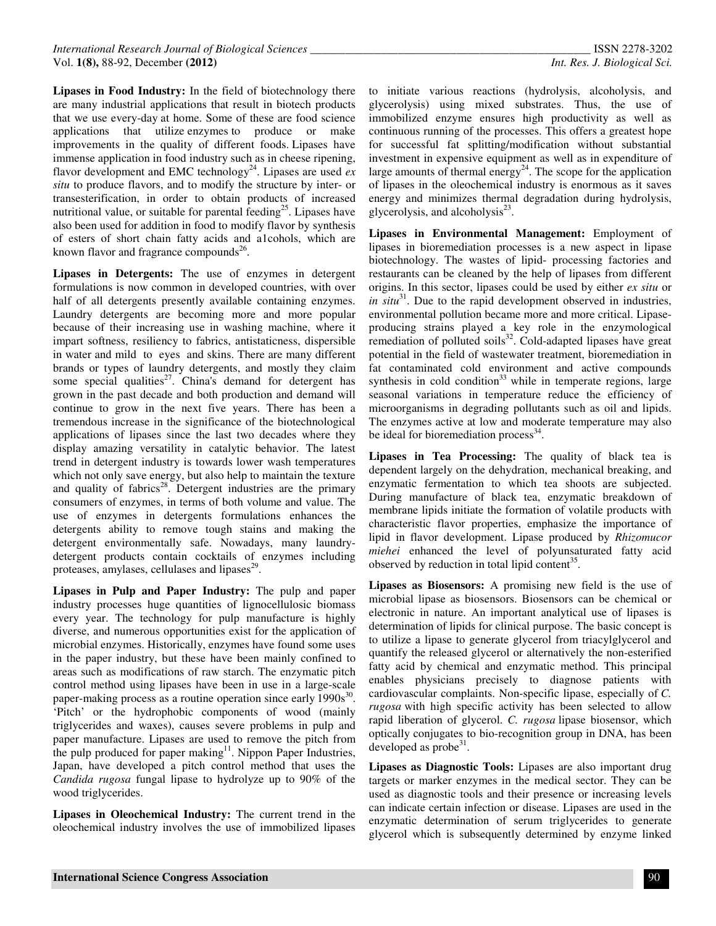**Lipases in Food Industry:** In the field of biotechnology there are many industrial applications that result in biotech products that we use every-day at home. Some of these are food science applications that utilize enzymes to produce or make improvements in the quality of different foods. Lipases have immense application in food industry such as in cheese ripening, flavor development and EMC technology<sup>24</sup>. Lipases are used  $ex$ *situ* to produce flavors, and to modify the structure by inter- or transesterification, in order to obtain products of increased nutritional value, or suitable for parental feeding<sup>25</sup>. Lipases have also been used for addition in food to modify flavor by synthesis of esters of short chain fatty acids and a1cohols, which are known flavor and fragrance compounds $26$ .

**Lipases in Detergents:** The use of enzymes in detergent formulations is now common in developed countries, with over half of all detergents presently available containing enzymes. Laundry detergents are becoming more and more popular because of their increasing use in washing machine, where it impart softness, resiliency to fabrics, antistaticness, dispersible in water and mild to eyes and skins. There are many different brands or types of laundry detergents, and mostly they claim some special qualities<sup>27</sup>. China's demand for detergent has grown in the past decade and both production and demand will continue to grow in the next five years. There has been a tremendous increase in the significance of the biotechnological applications of lipases since the last two decades where they display amazing versatility in catalytic behavior. The latest trend in detergent industry is towards lower wash temperatures which not only save energy, but also help to maintain the texture and quality of fabrics<sup>28</sup>. Detergent industries are the primary consumers of enzymes, in terms of both volume and value. The use of enzymes in detergents formulations enhances the detergents ability to remove tough stains and making the detergent environmentally safe. Nowadays, many laundrydetergent products contain cocktails of enzymes including proteases, amylases, cellulases and lipases $^{29}$ .

**Lipases in Pulp and Paper Industry:** The pulp and paper industry processes huge quantities of lignocellulosic biomass every year. The technology for pulp manufacture is highly diverse, and numerous opportunities exist for the application of microbial enzymes. Historically, enzymes have found some uses in the paper industry, but these have been mainly confined to areas such as modifications of raw starch. The enzymatic pitch control method using lipases have been in use in a large-scale paper-making process as a routine operation since early  $1990s^{30}$ . 'Pitch' or the hydrophobic components of wood (mainly triglycerides and waxes), causes severe problems in pulp and paper manufacture. Lipases are used to remove the pitch from the pulp produced for paper making $11$ . Nippon Paper Industries, Japan, have developed a pitch control method that uses the *Candida rugosa* fungal lipase to hydrolyze up to 90% of the wood triglycerides.

**Lipases in Oleochemical Industry:** The current trend in the oleochemical industry involves the use of immobilized lipases

to initiate various reactions (hydrolysis, alcoholysis, and glycerolysis) using mixed substrates. Thus, the use of immobilized enzyme ensures high productivity as well as continuous running of the processes. This offers a greatest hope for successful fat splitting/modification without substantial investment in expensive equipment as well as in expenditure of large amounts of thermal energy<sup>24</sup>. The scope for the application of lipases in the oleochemical industry is enormous as it saves energy and minimizes thermal degradation during hydrolysis, glycerolysis, and alcoholysis $^{23}$ .

**Lipases in Environmental Management:** Employment of lipases in bioremediation processes is a new aspect in lipase biotechnology. The wastes of lipid- processing factories and restaurants can be cleaned by the help of lipases from different origins. In this sector, lipases could be used by either *ex situ* or *in situ*<sup>31</sup>. Due to the rapid development observed in industries, environmental pollution became more and more critical. Lipaseproducing strains played a key role in the enzymological remediation of polluted soils $32$ . Cold-adapted lipases have great potential in the field of wastewater treatment, bioremediation in fat contaminated cold environment and active compounds synthesis in cold condition<sup>33</sup> while in temperate regions, large seasonal variations in temperature reduce the efficiency of microorganisms in degrading pollutants such as oil and lipids. The enzymes active at low and moderate temperature may also be ideal for bioremediation process $^{34}$ .

**Lipases in Tea Processing:** The quality of black tea is dependent largely on the dehydration, mechanical breaking, and enzymatic fermentation to which tea shoots are subjected. During manufacture of black tea, enzymatic breakdown of membrane lipids initiate the formation of volatile products with characteristic flavor properties, emphasize the importance of lipid in flavor development. Lipase produced by *Rhizomucor miehei* enhanced the level of polyunsaturated fatty acid observed by reduction in total lipid content<sup>35</sup>.

**Lipases as Biosensors:** A promising new field is the use of microbial lipase as biosensors. Biosensors can be chemical or electronic in nature. An important analytical use of lipases is determination of lipids for clinical purpose. The basic concept is to utilize a lipase to generate glycerol from triacylglycerol and quantify the released glycerol or alternatively the non-esterified fatty acid by chemical and enzymatic method. This principal enables physicians precisely to diagnose patients with cardiovascular complaints. Non-specific lipase, especially of *C. rugosa* with high specific activity has been selected to allow rapid liberation of glycerol. *C. rugosa* lipase biosensor, which optically conjugates to bio-recognition group in DNA, has been developed as  $probe^{31}$ .

**Lipases as Diagnostic Tools:** Lipases are also important drug targets or marker enzymes in the medical sector. They can be used as diagnostic tools and their presence or increasing levels can indicate certain infection or disease. Lipases are used in the enzymatic determination of serum triglycerides to generate glycerol which is subsequently determined by enzyme linked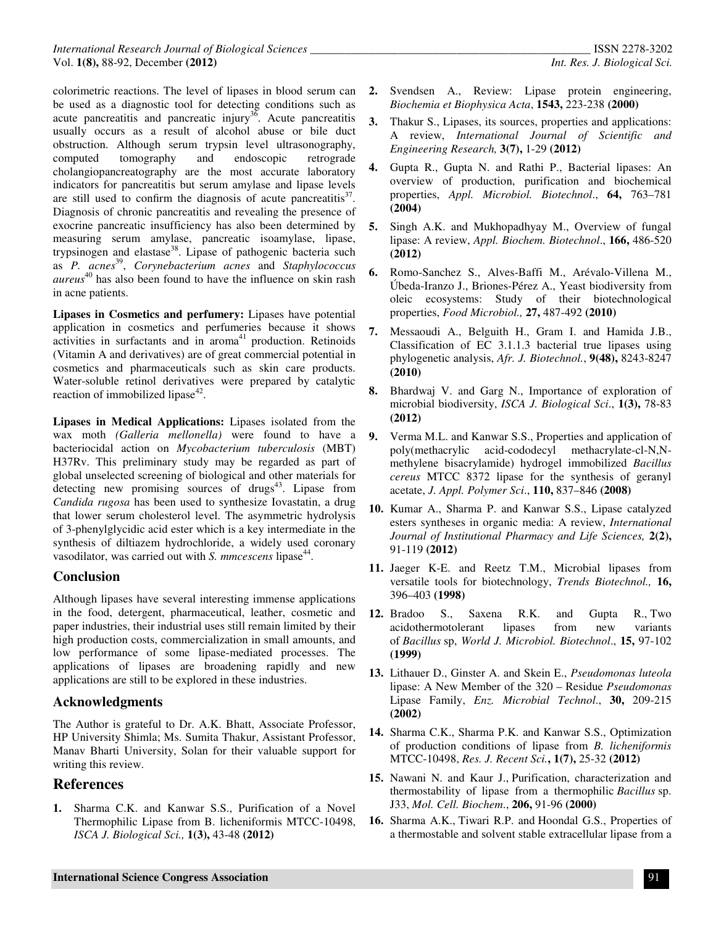colorimetric reactions. The level of lipases in blood serum can be used as a diagnostic tool for detecting conditions such as acute pancreatitis and pancreatic injury<sup>36</sup>. Acute pancreatitis usually occurs as a result of alcohol abuse or bile duct obstruction. Although serum trypsin level ultrasonography, computed tomography and endoscopic retrograde cholangiopancreatography are the most accurate laboratory indicators for pancreatitis but serum amylase and lipase levels are still used to confirm the diagnosis of acute pancreatitis $3^7$ . Diagnosis of chronic pancreatitis and revealing the presence of exocrine pancreatic insufficiency has also been determined by measuring serum amylase, pancreatic isoamylase, lipase, trypsinogen and elastase<sup>38</sup>. Lipase of pathogenic bacteria such as *P. acnes*<sup>39</sup> , *Corynebacterium acnes* and *Staphylococcus aureus* <sup>40</sup> has also been found to have the influence on skin rash in acne patients.

**Lipases in Cosmetics and perfumery:** Lipases have potential application in cosmetics and perfumeries because it shows activities in surfactants and in aroma<sup>41</sup> production. Retinoids (Vitamin A and derivatives) are of great commercial potential in cosmetics and pharmaceuticals such as skin care products. Water-soluble retinol derivatives were prepared by catalytic reaction of immobilized lipase $42$ .

**Lipases in Medical Applications:** Lipases isolated from the wax moth *(Galleria mellonella)* were found to have a bacteriocidal action on *Mycobacterium tuberculosis* (MBT) H37Rv. This preliminary study may be regarded as part of global unselected screening of biological and other materials for detecting new promising sources of drugs $43$ . Lipase from *Candida rugosa* has been used to synthesize Iovastatin, a drug that lower serum cholesterol level. The asymmetric hydrolysis of 3-phenylglycidic acid ester which is a key intermediate in the synthesis of diltiazem hydrochloride, a widely used coronary vasodilator, was carried out with *S. mmcescens* lipase<sup>44</sup>.

#### **Conclusion**

Although lipases have several interesting immense applications in the food, detergent, pharmaceutical, leather, cosmetic and paper industries, their industrial uses still remain limited by their high production costs, commercialization in small amounts, and low performance of some lipase-mediated processes. The applications of lipases are broadening rapidly and new applications are still to be explored in these industries.

## **Acknowledgments**

The Author is grateful to Dr. A.K. Bhatt, Associate Professor, HP University Shimla; Ms. Sumita Thakur, Assistant Professor, Manav Bharti University, Solan for their valuable support for writing this review.

## **References**

**1.** Sharma C.K. and Kanwar S.S., Purification of a Novel Thermophilic Lipase from B. licheniformis MTCC-10498, *ISCA J. Biological Sci.,* **1(3),** 43-48 **(2012)** 

- **2.** Svendsen A., Review: Lipase protein engineering, *Biochemia et Biophysica Acta*, **1543,** 223-238 **(2000)**
- **3.** Thakur S., Lipases, its sources, properties and applications: A review, *International Journal of Scientific and Engineering Research,* **3(7),** 1-29 **(2012)**
- **4.** Gupta R., Gupta N. and Rathi P., Bacterial lipases: An overview of production, purification and biochemical properties, *Appl. Microbiol. Biotechnol*., **64,** 763–781 **(2004)**
- **5.** Singh A.K. and Mukhopadhyay M., Overview of fungal lipase: A review, *Appl. Biochem. Biotechnol*., **166,** 486-520 **(2012)**
- **6.** Romo-Sanchez S., Alves-Baffi M., Arévalo-Villena M., Úbeda-Iranzo J., Briones-Pérez A., Yeast biodiversity from oleic ecosystems: Study of their biotechnological properties, *Food Microbiol.,* **27,** 487-492 **(2010)**
- **7.** Messaoudi A., Belguith H., Gram I. and Hamida J.B., Classification of EC 3.1.1.3 bacterial true lipases using phylogenetic analysis, *Afr. J. Biotechnol.*, **9(48),** 8243-8247 **(2010)**
- **8.** Bhardwaj V. and Garg N., Importance of exploration of microbial biodiversity, *ISCA J. Biological Sci*., **1(3),** 78-83 **(2012)**
- **9.** Verma M.L. and Kanwar S.S., Properties and application of poly(methacrylic acid-cododecyl methacrylate-cl-N,Nmethylene bisacrylamide) hydrogel immobilized *Bacillus cereus* MTCC 8372 lipase for the synthesis of geranyl acetate, *J. Appl. Polymer Sci*., **110,** 837–846 **(2008)**
- **10.** Kumar A., Sharma P. and Kanwar S.S., Lipase catalyzed esters syntheses in organic media: A review, *International Journal of Institutional Pharmacy and Life Sciences,* **2(2),** 91-119 **(2012)**
- **11.** Jaeger K-E. and Reetz T.M., Microbial lipases from versatile tools for biotechnology, *Trends Biotechnol.,* **16,** 396–403 **(1998)**
- **12.** Bradoo S., Saxena R.K. and Gupta R., Two acidothermotolerant lipases from new variants of *Bacillus* sp, *World J. Microbiol. Biotechnol*., **15,** 97-102 **(1999)**
- **13.** Lithauer D., Ginster A. and Skein E., *Pseudomonas luteola* lipase: A New Member of the 320 – Residue *Pseudomonas* Lipase Family, *Enz. Microbial Technol*., **30,** 209-215 **(2002)**
- **14.** Sharma C.K., Sharma P.K. and Kanwar S.S., Optimization of production conditions of lipase from *B. licheniformis*  MTCC-10498, *Res. J. Recent Sci.***, 1(7),** 25-32 **(2012)**
- **15.** Nawani N. and Kaur J., Purification, characterization and thermostability of lipase from a thermophilic *Bacillus* sp. J33, *Mol. Cell. Biochem*., **206,** 91-96 **(2000)**
- **16.** Sharma A.K., Tiwari R.P. and Hoondal G.S., Properties of a thermostable and solvent stable extracellular lipase from a